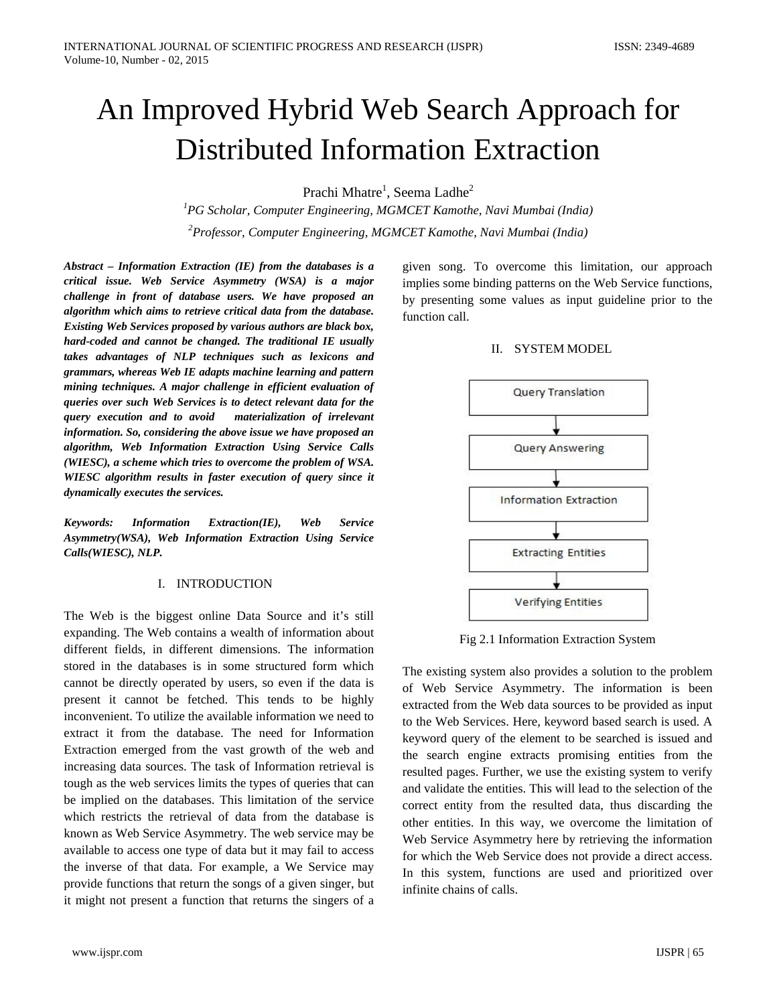# An Improved Hybrid Web Search Approach for Distributed Information Extraction

Prachi Mhatre<sup>1</sup>, Seema Ladhe<sup>2</sup>

*1 PG Scholar, Computer Engineering, MGMCET Kamothe, Navi Mumbai (India) 2 Professor, Computer Engineering, MGMCET Kamothe, Navi Mumbai (India)*

*Abstract – Information Extraction (IE) from the databases is a critical issue. Web Service Asymmetry (WSA) is a major challenge in front of database users. We have proposed an algorithm which aims to retrieve critical data from the database. Existing Web Services proposed by various authors are black box, hard-coded and cannot be changed. The traditional IE usually takes advantages of NLP techniques such as lexicons and grammars, whereas Web IE adapts machine learning and pattern mining techniques. A major challenge in efficient evaluation of queries over such Web Services is to detect relevant data for the query execution and to avoid materialization of irrelevant information. So, considering the above issue we have proposed an algorithm, Web Information Extraction Using Service Calls (WIESC), a scheme which tries to overcome the problem of WSA. WIESC algorithm results in faster execution of query since it dynamically executes the services.* 

*Keywords: Information Extraction(IE), Web Service Asymmetry(WSA), Web Information Extraction Using Service Calls(WIESC), NLP.*

#### I. INTRODUCTION

The Web is the biggest online Data Source and it's still expanding. The Web contains a wealth of information about different fields, in different dimensions. The information stored in the databases is in some structured form which cannot be directly operated by users, so even if the data is present it cannot be fetched. This tends to be highly inconvenient. To utilize the available information we need to extract it from the database. The need for Information Extraction emerged from the vast growth of the web and increasing data sources. The task of Information retrieval is tough as the web services limits the types of queries that can be implied on the databases. This limitation of the service which restricts the retrieval of data from the database is known as Web Service Asymmetry. The web service may be available to access one type of data but it may fail to access the inverse of that data. For example, a We Service may provide functions that return the songs of a given singer, but it might not present a function that returns the singers of a

given song. To overcome this limitation, our approach implies some binding patterns on the Web Service functions, by presenting some values as input guideline prior to the function call.

#### II. SYSTEM MODEL



Fig 2.1 Information Extraction System

The existing system also provides a solution to the problem of Web Service Asymmetry. The information is been extracted from the Web data sources to be provided as input to the Web Services. Here, keyword based search is used. A keyword query of the element to be searched is issued and the search engine extracts promising entities from the resulted pages. Further, we use the existing system to verify and validate the entities. This will lead to the selection of the correct entity from the resulted data, thus discarding the other entities. In this way, we overcome the limitation of Web Service Asymmetry here by retrieving the information for which the Web Service does not provide a direct access. In this system, functions are used and prioritized over infinite chains of calls.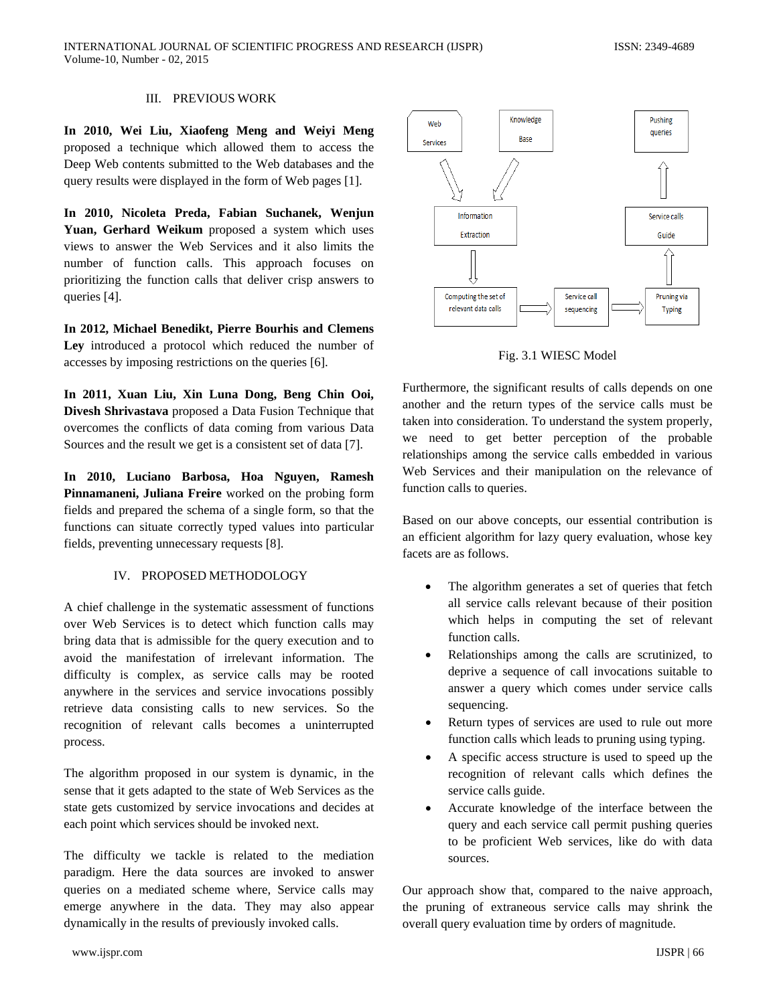# III. PREVIOUS WORK

**In 2010, Wei Liu, Xiaofeng Meng and Weiyi Meng** proposed a technique which allowed them to access the Deep Web contents submitted to the Web databases and the query results were displayed in the form of Web pages [1].

**In 2010, Nicoleta Preda, Fabian Suchanek, Wenjun Yuan, Gerhard Weikum** proposed a system which uses views to answer the Web Services and it also limits the number of function calls. This approach focuses on prioritizing the function calls that deliver crisp answers to queries [4].

**In 2012, Michael Benedikt, Pierre Bourhis and Clemens Ley** introduced a protocol which reduced the number of accesses by imposing restrictions on the queries [6].

**In 2011, Xuan Liu, Xin Luna Dong, Beng Chin Ooi, Divesh Shrivastava** proposed a Data Fusion Technique that overcomes the conflicts of data coming from various Data Sources and the result we get is a consistent set of data [7].

**In 2010, Luciano Barbosa, Hoa Nguyen, Ramesh Pinnamaneni, Juliana Freire** worked on the probing form fields and prepared the schema of a single form, so that the functions can situate correctly typed values into particular fields, preventing unnecessary requests [8].

#### IV. PROPOSED METHODOLOGY

A chief challenge in the systematic assessment of functions over Web Services is to detect which function calls may bring data that is admissible for the query execution and to avoid the manifestation of irrelevant information. The difficulty is complex, as service calls may be rooted anywhere in the services and service invocations possibly retrieve data consisting calls to new services. So the recognition of relevant calls becomes a uninterrupted process.

The algorithm proposed in our system is dynamic, in the sense that it gets adapted to the state of Web Services as the state gets customized by service invocations and decides at each point which services should be invoked next.

The difficulty we tackle is related to the mediation paradigm. Here the data sources are invoked to answer queries on a mediated scheme where, Service calls may emerge anywhere in the data. They may also appear dynamically in the results of previously invoked calls.



Fig. 3.1 WIESC Model

Furthermore, the significant results of calls depends on one another and the return types of the service calls must be taken into consideration. To understand the system properly, we need to get better perception of the probable relationships among the service calls embedded in various Web Services and their manipulation on the relevance of function calls to queries.

Based on our above concepts, our essential contribution is an efficient algorithm for lazy query evaluation, whose key facets are as follows.

- The algorithm generates a set of queries that fetch all service calls relevant because of their position which helps in computing the set of relevant function calls.
- Relationships among the calls are scrutinized, to deprive a sequence of call invocations suitable to answer a query which comes under service calls sequencing.
- Return types of services are used to rule out more function calls which leads to pruning using typing.
- A specific access structure is used to speed up the recognition of relevant calls which defines the service calls guide.
- Accurate knowledge of the interface between the query and each service call permit pushing queries to be proficient Web services, like do with data sources.

Our approach show that, compared to the naive approach, the pruning of extraneous service calls may shrink the overall query evaluation time by orders of magnitude.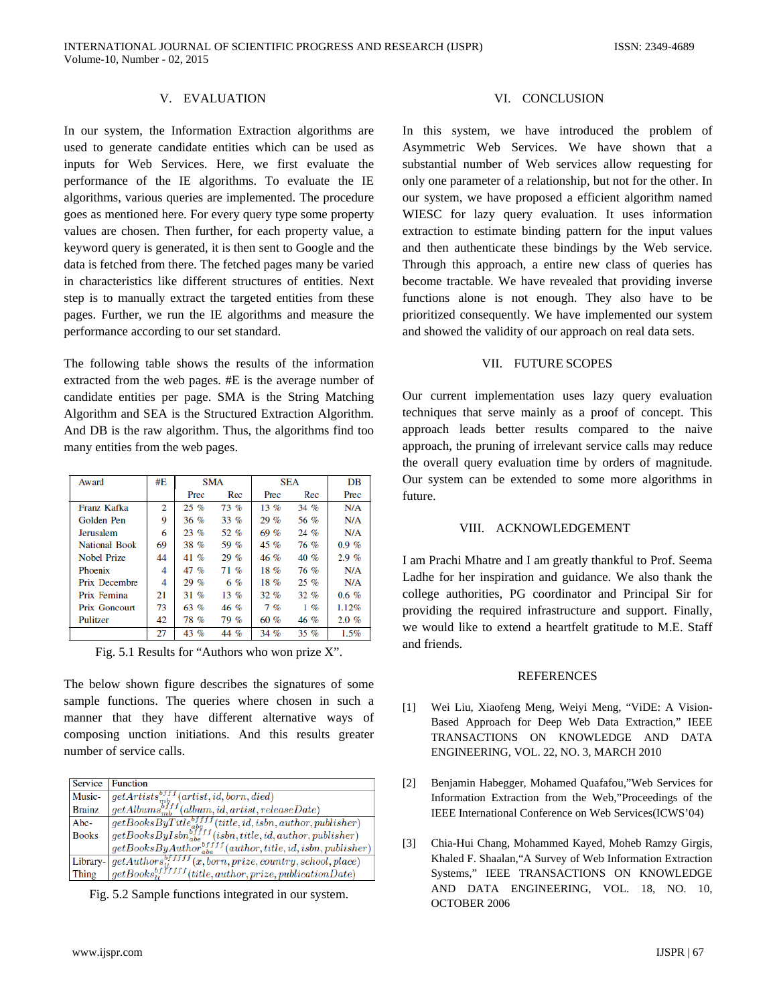# V. EVALUATION

In our system, the Information Extraction algorithms are used to generate candidate entities which can be used as inputs for Web Services. Here, we first evaluate the performance of the IE algorithms. To evaluate the IE algorithms, various queries are implemented. The procedure goes as mentioned here. For every query type some property values are chosen. Then further, for each property value, a keyword query is generated, it is then sent to Google and the data is fetched from there. The fetched pages many be varied in characteristics like different structures of entities. Next step is to manually extract the targeted entities from these pages. Further, we run the IE algorithms and measure the performance according to our set standard.

The following table shows the results of the information extracted from the web pages. #E is the average number of candidate entities per page. SMA is the String Matching Algorithm and SEA is the Structured Extraction Algorithm. And DB is the raw algorithm. Thus, the algorithms find too many entities from the web pages.

| Award                | #E | <b>SMA</b> |         | SEA    |         | DB       |
|----------------------|----|------------|---------|--------|---------|----------|
|                      |    | Prec       | Rec     | Prec   | Rec     | Prec     |
| Franz Kafka          | 2  | $25\%$     | 73%     | $13\%$ | $34\%$  | N/A      |
| Golden Pen           | Q  | $36 \%$    | $33\%$  | 29%    | 56 %    | N/A      |
| <b>Jerusalem</b>     | 6  | $23\%$     | 52%     | 69%    | $24\%$  | N/A      |
| <b>National Book</b> | 69 | 38 %       | 59 %    | 45%    | 76 %    | $0.9 \%$ |
| Nobel Prize          | 44 | $41\%$     | $29\%$  | 46 %   | $40\%$  | 2.9%     |
| Phoenix              | 4  | 47 %       | 71%     | 18%    | 76 %    | N/A      |
| <b>Prix Decembre</b> | 4  | $29\%$     | 6%      | 18%    | $25\%$  | N/A      |
| Prix Femina          | 21 | $31\%$     | $13\%$  | 32%    | $32\%$  | $0.6 \%$ |
| Prix Goncourt        | 73 | 63 %       | $46 \%$ | $7\%$  | $1\%$   | 1.12%    |
| Pulitzer             | 42 | 78%        | 79%     | 60%    | 46 %    | $2.0 \%$ |
|                      | 27 | 43 %       | 44 %    | 34 %   | $35 \%$ | 1.5%     |

Fig. 5.1 Results for "Authors who won prize X".

The below shown figure describes the signatures of some sample functions. The queries where chosen in such a manner that they have different alternative ways of composing unction initiations. And this results greater number of service calls.

| <b>Service</b> | <b>Function</b>                                                         |
|----------------|-------------------------------------------------------------------------|
| Music-         | $\overline{qetArticles^{off}_{{mb}}^{off}}$<br>(artist, id, born, died) |
| <b>Brainz</b>  | $getAlbums^{off}_{mb}(album, id, artist, releaseDate)$                  |
| Abe-           | $getBooksByTitle_{abe}^{bffff}(title, id, isbn, author, publisher)$     |
| <b>Books</b>   | $getBooksByIsbn_{abe}^{diff}$ (isbn, title, id, author, publisher)      |
|                | $getBooksByAuthor^{bf\,f}_{abe}(author, title, id, isbn, publisher)$    |
| Library-       | $getAuthors^{bf}_{1}$<br>$(x, born, prize, country, school, place)$     |
| Thing          | $getBooks_{i*}^{bf}$<br>$(title, author, prize, publicationDate)$       |

Fig. 5.2 Sample functions integrated in our system.

## VI. CONCLUSION

In this system, we have introduced the problem of Asymmetric Web Services. We have shown that a substantial number of Web services allow requesting for only one parameter of a relationship, but not for the other. In our system, we have proposed a efficient algorithm named WIESC for lazy query evaluation. It uses information extraction to estimate binding pattern for the input values and then authenticate these bindings by the Web service. Through this approach, a entire new class of queries has become tractable. We have revealed that providing inverse functions alone is not enough. They also have to be prioritized consequently. We have implemented our system and showed the validity of our approach on real data sets.

## VII. FUTURE SCOPES

Our current implementation uses lazy query evaluation techniques that serve mainly as a proof of concept. This approach leads better results compared to the naive approach, the pruning of irrelevant service calls may reduce the overall query evaluation time by orders of magnitude. Our system can be extended to some more algorithms in future.

#### VIII. ACKNOWLEDGEMENT

I am Prachi Mhatre and I am greatly thankful to Prof. Seema Ladhe for her inspiration and guidance. We also thank the college authorities, PG coordinator and Principal Sir for providing the required infrastructure and support. Finally, we would like to extend a heartfelt gratitude to M.E. Staff and friends.

#### REFERENCES

- [1] Wei Liu, Xiaofeng Meng, Weiyi Meng, "ViDE: A Vision-Based Approach for Deep Web Data Extraction," IEEE TRANSACTIONS ON KNOWLEDGE AND DATA ENGINEERING, VOL. 22, NO. 3, MARCH 2010
- [2] Benjamin Habegger, Mohamed Quafafou,"Web Services for Information Extraction from the Web,"Proceedings of the IEEE International Conference on Web Services(ICWS'04)
- [3] Chia-Hui Chang, Mohammed Kayed, Moheb Ramzy Girgis, Khaled F. Shaalan,"A Survey of Web Information Extraction Systems," IEEE TRANSACTIONS ON KNOWLEDGE AND DATA ENGINEERING, VOL. 18, NO. 10, OCTOBER 2006